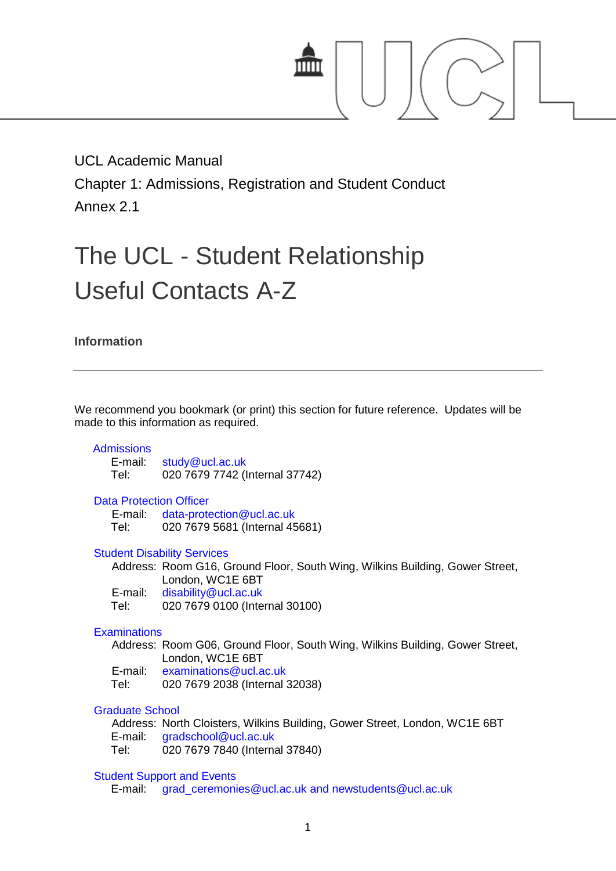

# UCL Academic Manual

Chapter 1: Admissions, Registration and Student Conduct

Annex 2.1

# The UCL - Student Relationship Useful Contacts A-Z

**Information**

We recommend you bookmark (or print) this section for future reference. Updates will be made to this information as required.

# **[Admissions](http://www.ucl.ac.uk/registry/division/dept/?dept=CA)**

E-mail: [study@ucl.ac.uk](mailto:study@ucl.ac.uk) Tel: 020 7679 7742 (Internal 37742)

#### [Data Protection Officer](http://www.ucl.ac.uk/efd/recordsoffice/data-protection/)

E-mail: [data-protection@ucl.ac.uk](mailto:data-protection@ucl.ac.uk)<br>Tel: 020 7679 5681 (Internal 45 020 7679 5681 (Internal 45681)

#### [Student Disability Services](http://www.ucl.ac.uk/disability/services/disability-centre)

Address: Room G16, Ground Floor, South Wing, Wilkins Building, Gower Street, London, WC1E 6BT

E-mail: [disability@ucl.ac.uk](mailto:disability@ucl.ac.uk)<br>Tel: 020 7679 0100 (Inte

020 7679 0100 (Internal 30100)

# **[Examinations](http://www.ucl.ac.uk/registry/division/dept/?dept=EX)**

Address: Room G06, Ground Floor, South Wing, Wilkins Building, Gower Street, London, WC1E 6BT

E-mail: [examinations@ucl.ac.uk](mailto:examinations@ucl.ac.uk)

Tel: 020 7679 2038 (Internal 32038)

# [Graduate School](http://www.grad.ucl.ac.uk/essinfo/)

Address: North Cloisters, Wilkins Building, Gower Street, London, WC1E 6BT E-mail: [gradschool@ucl.ac.uk](mailto:gradschool@ucl.ac.uk) Tel: 020 7679 7840 (Internal 37840)

#### [Student Support and Events](http://www.ucl.ac.uk/graduation)

E-mail: [grad\\_ceremonies@ucl.ac.uk](mailto:grad_ceremonies@ucl.ac.uk) and [newstudents@ucl.ac.uk](mailto:newstudents@ucl.ac.uk)